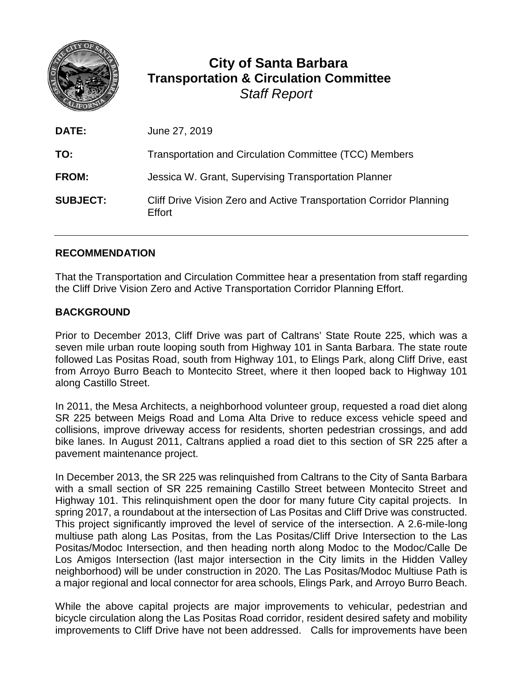

## **City of Santa Barbara Transportation & Circulation Committee** *Staff Report*

| <b>DATE:</b>    | June 27, 2019                                                                 |
|-----------------|-------------------------------------------------------------------------------|
| TO:             | Transportation and Circulation Committee (TCC) Members                        |
| <b>FROM:</b>    | Jessica W. Grant, Supervising Transportation Planner                          |
| <b>SUBJECT:</b> | Cliff Drive Vision Zero and Active Transportation Corridor Planning<br>Effort |

## **RECOMMENDATION**

That the Transportation and Circulation Committee hear a presentation from staff regarding the Cliff Drive Vision Zero and Active Transportation Corridor Planning Effort.

## **BACKGROUND**

Prior to December 2013, Cliff Drive was part of Caltrans' State Route 225, which was a seven mile urban route looping south from Highway 101 in Santa Barbara. The state route followed Las Positas Road, south from Highway 101, to Elings Park, along Cliff Drive, east from Arroyo Burro Beach to Montecito Street, where it then looped back to Highway 101 along Castillo Street.

In 2011, the Mesa Architects, a neighborhood volunteer group, requested a road diet along SR 225 between Meigs Road and Loma Alta Drive to reduce excess vehicle speed and collisions, improve driveway access for residents, shorten pedestrian crossings, and add bike lanes. In August 2011, Caltrans applied a road diet to this section of SR 225 after a pavement maintenance project.

In December 2013, the SR 225 was relinquished from Caltrans to the City of Santa Barbara with a small section of SR 225 remaining Castillo Street between Montecito Street and Highway 101. This relinquishment open the door for many future City capital projects. In spring 2017, a roundabout at the intersection of Las Positas and Cliff Drive was constructed. This project significantly improved the level of service of the intersection. A 2.6-mile-long multiuse path along Las Positas, from the Las Positas/Cliff Drive Intersection to the Las Positas/Modoc Intersection, and then heading north along Modoc to the Modoc/Calle De Los Amigos Intersection (last major intersection in the City limits in the Hidden Valley neighborhood) will be under construction in 2020. The Las Positas/Modoc Multiuse Path is a major regional and local connector for area schools, Elings Park, and Arroyo Burro Beach.

While the above capital projects are major improvements to vehicular, pedestrian and bicycle circulation along the Las Positas Road corridor, resident desired safety and mobility improvements to Cliff Drive have not been addressed. Calls for improvements have been